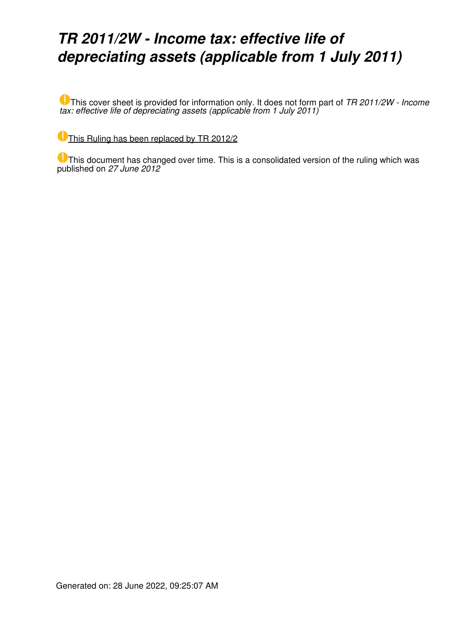## *TR 2011/2W - Income tax: effective life of depreciating assets (applicable from 1 July 2011)*

This cover sheet is provided for information only. It does not form part of *TR 2011/2W - Income tax: effective life of depreciating assets (applicable from 1 July 2011)*

[This Ruling has been replaced by TR 2012/2](https://www.ato.gov.au/law/view/document?LocID=%22TXR%2FTR20122%2FNAT%2FATO%22&PiT=20120627000001)

This document has changed over time. This is a consolidated version of the ruling which was published on *27 June 2012*